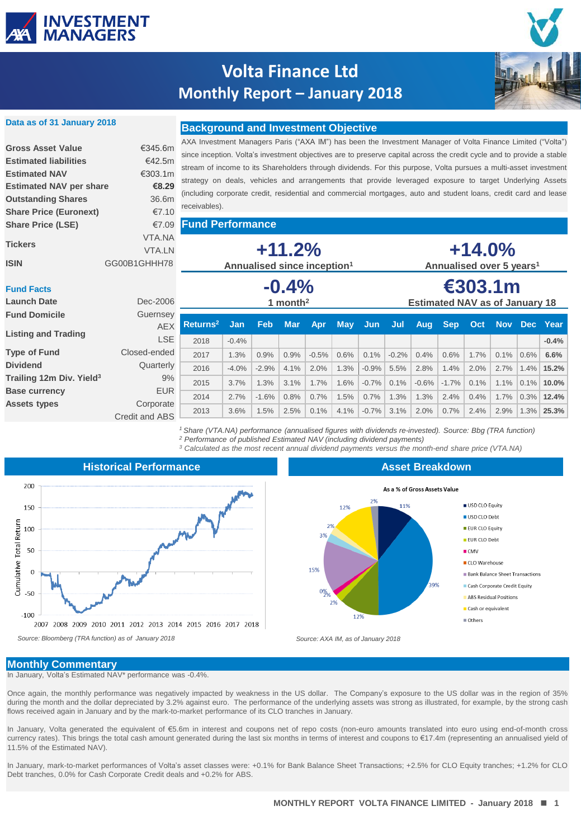

**Data as of 31 January 2018**

 $F<sub>u</sub>$ 

## **Volta Finance Ltd Monthly Report – January 2018**



### **Background and Investment Objective**

| <b>Gross Asset Value</b>       | €345.6m       |
|--------------------------------|---------------|
| <b>Estimated liabilities</b>   | €42.5m        |
| <b>Estimated NAV</b>           | €303.1m       |
| <b>Estimated NAV per share</b> | €8.29         |
| <b>Outstanding Shares</b>      | 36.6m         |
| <b>Share Price (Euronext)</b>  | €7.10         |
| <b>Share Price (LSE)</b>       | €7.09         |
|                                | VTA NA        |
| <b>Tickers</b>                 | <b>VTA IN</b> |
| ISIN                           | GG00B1GHHH78  |

AXA Investment Managers Paris ("AXA IM") has been the Investment Manager of Volta Finance Limited ("Volta") since inception. Volta's investment objectives are to preserve capital across the credit cycle and to provide a stable stream of income to its Shareholders through dividends. For this purpose, Volta pursues a multi-asset investment strategy on deals, vehicles and arrangements that provide leveraged exposure to target Underlying Assets (including corporate credit, residential and commercial mortgages, auto and student loans, credit card and lease receivables).

**Fund Performance**

| <b>Tickers</b><br><b>ISIN</b>           | VTA.NA<br><b>VTA.LN</b><br>GG00B1GHHH78 | $+11.2%$<br>Annualised since inception <sup>1</sup> |                       |         |            |         | $+14.0%$<br>Annualised over 5 years <sup>1</sup> |         |                                                  |         |            |      |              |         |               |
|-----------------------------------------|-----------------------------------------|-----------------------------------------------------|-----------------------|---------|------------|---------|--------------------------------------------------|---------|--------------------------------------------------|---------|------------|------|--------------|---------|---------------|
| <b>Fund Facts</b><br><b>Launch Date</b> | Dec-2006                                | $-0.4%$<br>1 month <sup>2</sup>                     |                       |         |            |         |                                                  |         | €303.1m<br><b>Estimated NAV as of January 18</b> |         |            |      |              |         |               |
| <b>Fund Domicile</b>                    | Guernsey                                |                                                     |                       |         |            |         |                                                  |         |                                                  |         |            |      |              |         |               |
| <b>Listing and Trading</b>              | <b>AEX</b><br><b>LSE</b>                | $R$ eturns <sup>2</sup><br>2018                     | <b>Jan</b><br>$-0.4%$ | Feb     | <b>Mar</b> | Apr     | <b>May</b>                                       | Jun     | Jul                                              | Aug     | <b>Sep</b> | Oct  | Nov Dec Year |         | $-0.4%$       |
| <b>Type of Fund</b>                     | Closed-ended                            | 2017                                                | 1.3%                  | 0.9%    | 0.9%       | $-0.5%$ | 0.6%                                             | 0.1%    | $-0.2%$                                          | 0.4%    | 0.6%       | 1.7% | 0.1%         | $0.6\%$ | 6.6%          |
| <b>Dividend</b>                         | Quarterly                               | 2016                                                | $-4.0%$               | $-2.9%$ | 4.1%       | 2.0%    | 1.3%                                             | $-0.9%$ | 5.5%                                             | 2.8%    | 1.4%       | 2.0% | 2.7%         |         | 1.4% 15.2%    |
| Trailing 12m Div. Yield <sup>3</sup>    | 9%                                      | 2015                                                | 3.7%                  | 1.3%    | 3.1%       | 1.7%    | 1.6%                                             | $-0.7%$ | 0.1%                                             | $-0.6%$ | $-1.7%$    | 0.1% | 1.1%         | $0.1\%$ | 10.0%         |
| <b>Base currency</b>                    | <b>EUR</b>                              |                                                     |                       |         |            |         |                                                  |         |                                                  |         |            |      |              |         |               |
| <b>Assets types</b>                     | Corporate                               | 2014                                                | 2.7%                  | $-1.6%$ | 0.8%       | 0.7%    | 1.5%                                             | 0.7%    | 1.3%                                             | 1.3%    | 2.4%       | 0.4% | 1.7%         |         | $0.3\%$ 12.4% |
|                                         | Credit and ABS                          | 2013                                                | 3.6%                  | 1.5%    | 2.5%       | 0.1%    | 4.1%                                             | $-0.7%$ | 3.1%                                             | 2.0%    | 0.7%       | 2.4% | 2.9%         | 1.3%    | 25.3%         |

*<sup>1</sup> Share (VTA.NA) performance (annualised figures with dividends re-invested). Source: Bbg (TRA function) <sup>2</sup> Performance of published Estimated NAV (including dividend payments)*

*<sup>3</sup> Calculated as the most recent annual dividend payments versus the month-end share price (VTA.NA)*



**Asset Breakdown**



#### **Monthly Commentary**

In January, Volta's Estimated NAV\* performance was -0.4%.

Once again, the monthly performance was negatively impacted by weakness in the US dollar. The Company's exposure to the US dollar was in the region of 35% during the month and the dollar depreciated by 3.2% against euro. The performance of the underlying assets was strong as illustrated, for example, by the strong cash flows received again in January and by the mark-to-market performance of its CLO tranches in January.

In January, Volta generated the equivalent of €5.6m in interest and coupons net of repo costs (non-euro amounts translated into euro using end-of-month cross currency rates). This brings the total cash amount generated during the last six months in terms of interest and coupons to €17.4m (representing an annualised yield of 11.5% of the Estimated NAV).

**RESTRICTED** Debt tranches, 0.0% for Cash Corporate Credit deals and +0.2% for ABS. In January, mark-to-market performances of Volta's asset classes were: +0.1% for Bank Balance Sheet Transactions; +2.5% for CLO Equity tranches; +1.2% for CLO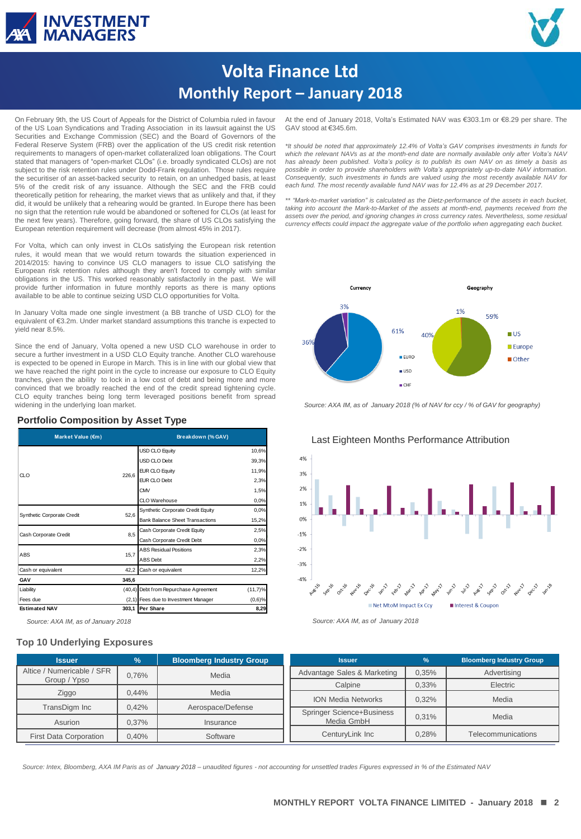



# **Volta Finance Ltd Monthly Report – January 2018**

On February 9th, the US Court of Appeals for the District of Columbia ruled in favour of the US Loan Syndications and Trading Association in its lawsuit against the US Securities and Exchange Commission (SEC) and the Board of Governors of the Federal Reserve System (FRB) over the application of the US credit risk retention requirements to managers of open-market collateralized loan obligations. The Court stated that managers of "open-market CLOs" (i.e. broadly syndicated CLOs) are not subject to the risk retention rules under Dodd-Frank regulation. Those rules require the securitiser of an asset-backed security to retain, on an unhedged basis, at least 5% of the credit risk of any issuance. Although the SEC and the FRB could theoretically petition for rehearing, the market views that as unlikely and that, if they did, it would be unlikely that a rehearing would be granted. In Europe there has been no sign that the retention rule would be abandoned or softened for CLOs (at least for the next few years). Therefore, going forward, the share of US CLOs satisfying the European retention requirement will decrease (from almost 45% in 2017).

For Volta, which can only invest in CLOs satisfying the European risk retention rules, it would mean that we would return towards the situation experienced in 2014/2015: having to convince US CLO managers to issue CLO satisfying the European risk retention rules although they aren't forced to comply with similar obligations in the US. This worked reasonably satisfactorily in the past. We will provide further information in future monthly reports as there is many options available to be able to continue seizing USD CLO opportunities for Volta.

In January Volta made one single investment (a BB tranche of USD CLO) for the equivalent of €3.2m. Under market standard assumptions this tranche is expected to yield near 8.5%.

Since the end of January, Volta opened a new USD CLO warehouse in order to secure a further investment in a USD CLO Equity tranche. Another CLO warehouse is expected to be opened in Europe in March. This is in line with our global view that we have reached the right point in the cycle to increase our exposure to CLO Equity tranches, given the ability to lock in a low cost of debt and being more and more convinced that we broadly reached the end of the credit spread tightening cycle. CLO equity tranches being long term leveraged positions benefit from spread widening in the underlying loan market.

#### **Portfolio Composition by Asset Type**

| Market Value (€m)          |       | Breakdown (% GAV)                      |            |  |  |  |
|----------------------------|-------|----------------------------------------|------------|--|--|--|
| CLO                        |       | <b>USD CLO Equity</b>                  | 10,6%      |  |  |  |
|                            |       | USD CLO Debt                           | 39,3%      |  |  |  |
|                            |       | <b>EUR CLO Equity</b>                  | 11,9%      |  |  |  |
|                            | 226.6 | <b>EUR CLO Debt</b>                    | 2,3%       |  |  |  |
|                            |       | <b>CMV</b>                             | 1,5%       |  |  |  |
|                            |       | CLO Warehouse                          | 0.0%       |  |  |  |
| Synthetic Corporate Credit | 52.6  | Synthetic Corporate Credit Equity      | 0.0%       |  |  |  |
|                            |       | <b>Bank Balance Sheet Transactions</b> | 15,2%      |  |  |  |
| Cash Corporate Credit      | 8,5   | Cash Corporate Credit Equity           | 2,5%       |  |  |  |
|                            |       | Cash Corporate Credit Debt             | 0.0%       |  |  |  |
| ABS                        | 15,7  | <b>ABS Residual Positions</b>          | 2,3%       |  |  |  |
|                            |       | ABS Debt                               | 2,2%       |  |  |  |
| Cash or equivalent         | 42,2  | Cash or equivalent                     | 12,2%      |  |  |  |
| GAV                        | 345,6 |                                        |            |  |  |  |
| Liability                  |       | (40,4) Debt from Repurchase Agreement  | $(11,7)$ % |  |  |  |
| Fees due                   |       | (2,1) Fees due to Investment Manager   | $(0,6)$ %  |  |  |  |
| <b>Estimated NAV</b>       |       | 303,1 Per Share                        | 8,29       |  |  |  |

*Source: AXA IM, as of January 2018 Source: AXA IM, as of January 2018*

#### **Top 10 Underlying Exposures**

At the end of January 2018, Volta's Estimated NAV was €303.1m or €8.29 per share. The GAV stood at €345.6m.

*\*It should be noted that approximately 12.4% of Volta's GAV comprises investments in funds for which the relevant NAVs as at the month-end date are normally available only after Volta's NAV has already been published. Volta's policy is to publish its own NAV on as timely a basis as possible in order to provide shareholders with Volta's appropriately up-to-date NAV information. Consequently, such investments in funds are valued using the most recently available NAV for each fund. The most recently available fund NAV was for 12.4% as at 29 December 2017.*

*\*\* "Mark-to-market variation" is calculated as the Dietz-performance of the assets in each bucket, taking into account the Mark-to-Market of the assets at month-end, payments received from the assets over the period, and ignoring changes in cross currency rates. Nevertheless, some residual currency effects could impact the aggregate value of the portfolio when aggregating each bucket.*



*Source: AXA IM, as of January 2018 (% of NAV for ccy / % of GAV for geography)*



Last Eighteen Months Performance Attribution



| <b>Issuer</b>                              | $\frac{1}{2}$ | <b>Bloomberg Industry Group</b>      | <b>Issuer</b>                    | %     | <b>Bloomberg Industry Group</b> |
|--------------------------------------------|---------------|--------------------------------------|----------------------------------|-------|---------------------------------|
| Altice / Numericable / SFR<br>Group / Ypso | 0.76%         | Advantage Sales & Marketing<br>Media |                                  | 0,35% | Advertising                     |
|                                            |               |                                      | Calpine                          | 0,33% | Electric                        |
| Ziggo                                      | 0.44%         | Media                                | <b>ION Media Networks</b>        | 0.32% | Media                           |
| TransDigm Inc                              | 0.42%         | Aerospace/Defense                    |                                  |       |                                 |
|                                            |               |                                      | <b>Springer Science+Business</b> |       |                                 |
| Asurion                                    | 0.37%         | Insurance                            | Media GmbH                       | 0.31% | Media                           |
| <b>First Data Corporation</b>              | 0.40%         | Software                             | CenturyLink Inc                  | 0,28% | Telecommunications              |

**RESTRICTED** *Source: Intex, Bloomberg, AXA IM Paris as of January 2018 – unaudited figures - not accounting for unsettled trades Figures expressed in % of the Estimated NAV*